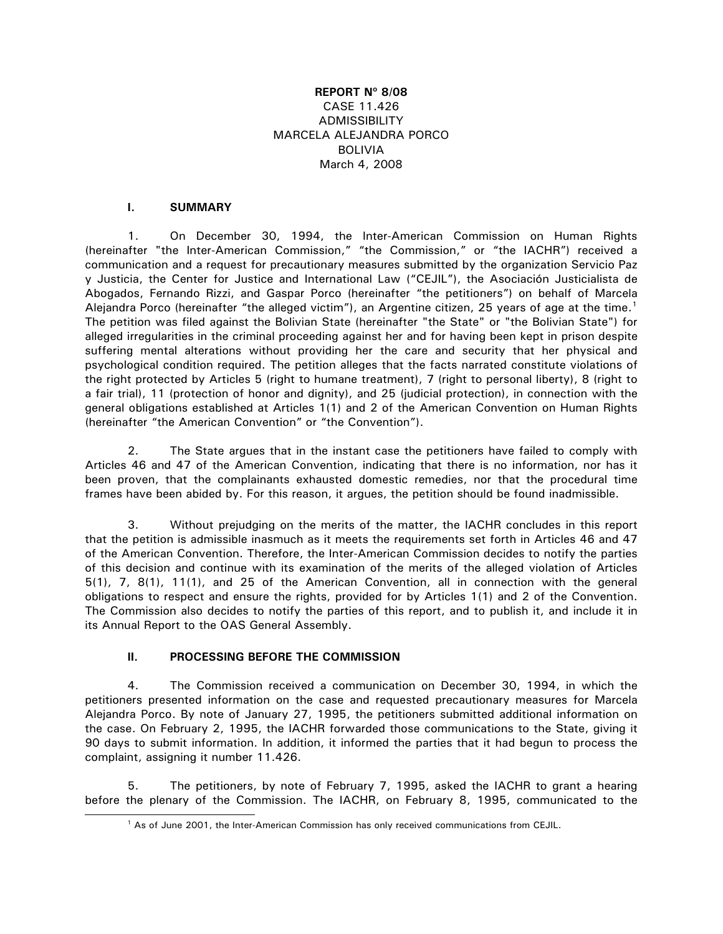## **REPORT Nº 8/08**  CASE 11.426 ADMISSIBILITY MARCELA ALEJANDRA PORCO BOLIVIA March 4, 2008

## **I. SUMMARY**

1. On December 30, 1994, the Inter-American Commission on Human Rights (hereinafter "the Inter-American Commission," "the Commission," or "the IACHR") received a communication and a request for precautionary measures submitted by the organization Servicio Paz y Justicia, the Center for Justice and International Law ("CEJIL"), the Asociación Justicialista de Abogados, Fernando Rizzi, and Gaspar Porco (hereinafter "the petitioners") on behalf of Marcela Alejandra Porco (hereinafter "the alleged victim"), an Argentine citizen, 25 years of age at the time.<sup>[1](#page-0-0)</sup> The petition was filed against the Bolivian State (hereinafter "the State" or "the Bolivian State") for alleged irregularities in the criminal proceeding against her and for having been kept in prison despite suffering mental alterations without providing her the care and security that her physical and psychological condition required. The petition alleges that the facts narrated constitute violations of the right protected by Articles 5 (right to humane treatment), 7 (right to personal liberty), 8 (right to a fair trial), 11 (protection of honor and dignity), and 25 (judicial protection), in connection with the general obligations established at Articles 1(1) and 2 of the American Convention on Human Rights (hereinafter "the American Convention" or "the Convention").

2. The State argues that in the instant case the petitioners have failed to comply with Articles 46 and 47 of the American Convention, indicating that there is no information, nor has it been proven, that the complainants exhausted domestic remedies, nor that the procedural time frames have been abided by. For this reason, it argues, the petition should be found inadmissible.

3. Without prejudging on the merits of the matter, the IACHR concludes in this report that the petition is admissible inasmuch as it meets the requirements set forth in Articles 46 and 47 of the American Convention. Therefore, the Inter-American Commission decides to notify the parties of this decision and continue with its examination of the merits of the alleged violation of Articles 5(1), 7, 8(1), 11(1), and 25 of the American Convention, all in connection with the general obligations to respect and ensure the rights, provided for by Articles 1(1) and 2 of the Convention. The Commission also decides to notify the parties of this report, and to publish it, and include it in its Annual Report to the OAS General Assembly.

#### **II. PROCESSING BEFORE THE COMMISSION**

4. The Commission received a communication on December 30, 1994, in which the petitioners presented information on the case and requested precautionary measures for Marcela Alejandra Porco. By note of January 27, 1995, the petitioners submitted additional information on the case. On February 2, 1995, the IACHR forwarded those communications to the State, giving it 90 days to submit information. In addition, it informed the parties that it had begun to process the complaint, assigning it number 11.426.

<span id="page-0-0"></span>5. The petitioners, by note of February 7, 1995, asked the IACHR to grant a hearing before the plenary of the Commission. The IACHR, on February 8, 1995, communicated to the

<sup>&</sup>lt;sup>1</sup> As of June 2001, the Inter-American Commission has only received communications from CEJIL.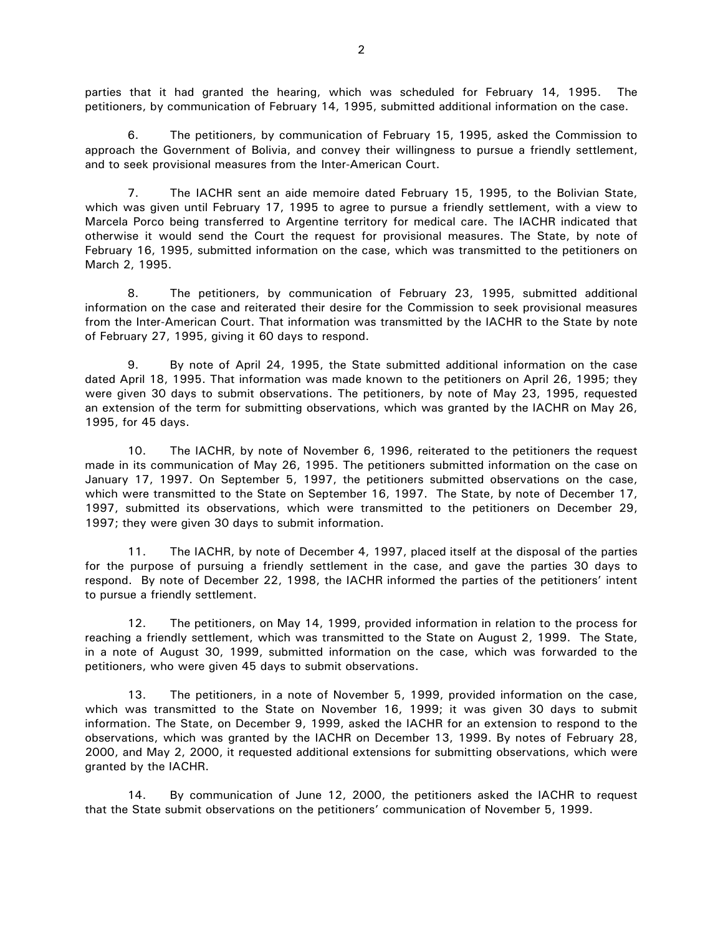parties that it had granted the hearing, which was scheduled for February 14, 1995. The petitioners, by communication of February 14, 1995, submitted additional information on the case.

6. The petitioners, by communication of February 15, 1995, asked the Commission to approach the Government of Bolivia, and convey their willingness to pursue a friendly settlement, and to seek provisional measures from the Inter-American Court.

7. The IACHR sent an aide memoire dated February 15, 1995, to the Bolivian State, which was given until February 17, 1995 to agree to pursue a friendly settlement, with a view to Marcela Porco being transferred to Argentine territory for medical care. The IACHR indicated that otherwise it would send the Court the request for provisional measures. The State, by note of February 16, 1995, submitted information on the case, which was transmitted to the petitioners on March 2, 1995.

8. The petitioners, by communication of February 23, 1995, submitted additional information on the case and reiterated their desire for the Commission to seek provisional measures from the Inter-American Court. That information was transmitted by the IACHR to the State by note of February 27, 1995, giving it 60 days to respond.

9. By note of April 24, 1995, the State submitted additional information on the case dated April 18, 1995. That information was made known to the petitioners on April 26, 1995; they were given 30 days to submit observations. The petitioners, by note of May 23, 1995, requested an extension of the term for submitting observations, which was granted by the IACHR on May 26, 1995, for 45 days.

10. The IACHR, by note of November 6, 1996, reiterated to the petitioners the request made in its communication of May 26, 1995. The petitioners submitted information on the case on January 17, 1997. On September 5, 1997, the petitioners submitted observations on the case, which were transmitted to the State on September 16, 1997. The State, by note of December 17, 1997, submitted its observations, which were transmitted to the petitioners on December 29, 1997; they were given 30 days to submit information.

11. The IACHR, by note of December 4, 1997, placed itself at the disposal of the parties for the purpose of pursuing a friendly settlement in the case, and gave the parties 30 days to respond. By note of December 22, 1998, the IACHR informed the parties of the petitioners' intent to pursue a friendly settlement.

12. The petitioners, on May 14, 1999, provided information in relation to the process for reaching a friendly settlement, which was transmitted to the State on August 2, 1999. The State, in a note of August 30, 1999, submitted information on the case, which was forwarded to the petitioners, who were given 45 days to submit observations.

13. The petitioners, in a note of November 5, 1999, provided information on the case, which was transmitted to the State on November 16, 1999; it was given 30 days to submit information. The State, on December 9, 1999, asked the IACHR for an extension to respond to the observations, which was granted by the IACHR on December 13, 1999. By notes of February 28, 2000, and May 2, 2000, it requested additional extensions for submitting observations, which were granted by the IACHR.

14. By communication of June 12, 2000, the petitioners asked the IACHR to request that the State submit observations on the petitioners' communication of November 5, 1999.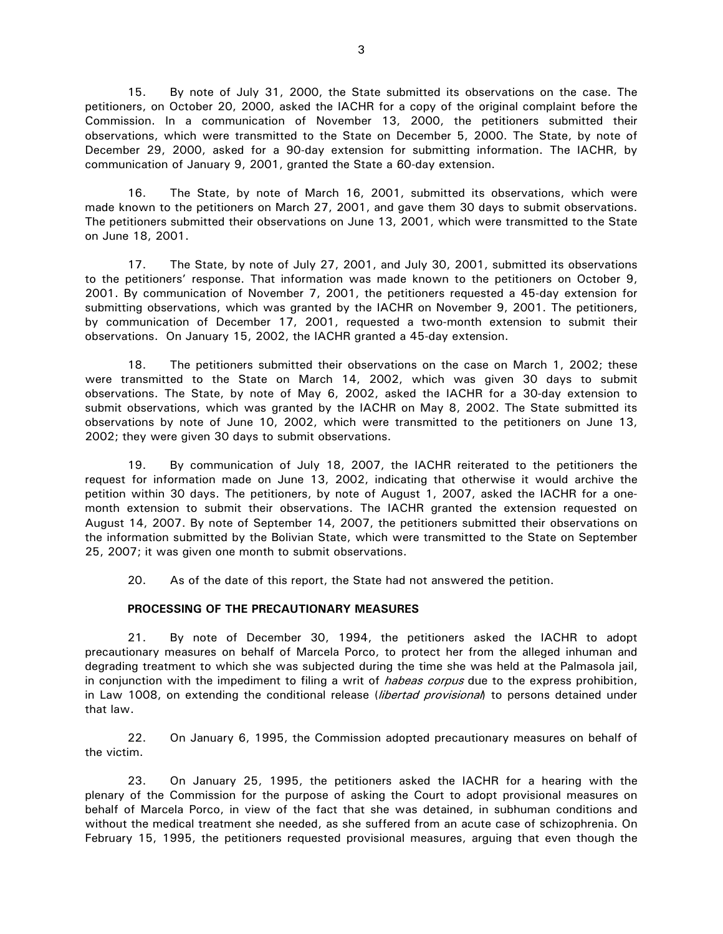15. By note of July 31, 2000, the State submitted its observations on the case. The petitioners, on October 20, 2000, asked the IACHR for a copy of the original complaint before the Commission. In a communication of November 13, 2000, the petitioners submitted their observations, which were transmitted to the State on December 5, 2000. The State, by note of December 29, 2000, asked for a 90-day extension for submitting information. The IACHR, by communication of January 9, 2001, granted the State a 60-day extension.

16. The State, by note of March 16, 2001, submitted its observations, which were made known to the petitioners on March 27, 2001, and gave them 30 days to submit observations. The petitioners submitted their observations on June 13, 2001, which were transmitted to the State on June 18, 2001.

17. The State, by note of July 27, 2001, and July 30, 2001, submitted its observations to the petitioners' response. That information was made known to the petitioners on October 9, 2001. By communication of November 7, 2001, the petitioners requested a 45-day extension for submitting observations, which was granted by the IACHR on November 9, 2001. The petitioners, by communication of December 17, 2001, requested a two-month extension to submit their observations. On January 15, 2002, the IACHR granted a 45-day extension.

18. The petitioners submitted their observations on the case on March 1, 2002; these were transmitted to the State on March 14, 2002, which was given 30 days to submit observations. The State, by note of May 6, 2002, asked the IACHR for a 30-day extension to submit observations, which was granted by the IACHR on May 8, 2002. The State submitted its observations by note of June 10, 2002, which were transmitted to the petitioners on June 13, 2002; they were given 30 days to submit observations.

19. By communication of July 18, 2007, the IACHR reiterated to the petitioners the request for information made on June 13, 2002, indicating that otherwise it would archive the petition within 30 days. The petitioners, by note of August 1, 2007, asked the IACHR for a onemonth extension to submit their observations. The IACHR granted the extension requested on August 14, 2007. By note of September 14, 2007, the petitioners submitted their observations on the information submitted by the Bolivian State, which were transmitted to the State on September 25, 2007; it was given one month to submit observations.

20. As of the date of this report, the State had not answered the petition.

#### **PROCESSING OF THE PRECAUTIONARY MEASURES**

21. By note of December 30, 1994, the petitioners asked the IACHR to adopt precautionary measures on behalf of Marcela Porco, to protect her from the alleged inhuman and degrading treatment to which she was subjected during the time she was held at the Palmasola jail, in conjunction with the impediment to filing a writ of *habeas corpus* due to the express prohibition, in Law 1008, on extending the conditional release (libertad provisional) to persons detained under that law.

22. On January 6, 1995, the Commission adopted precautionary measures on behalf of the victim.

23. On January 25, 1995, the petitioners asked the IACHR for a hearing with the plenary of the Commission for the purpose of asking the Court to adopt provisional measures on behalf of Marcela Porco, in view of the fact that she was detained, in subhuman conditions and without the medical treatment she needed, as she suffered from an acute case of schizophrenia. On February 15, 1995, the petitioners requested provisional measures, arguing that even though the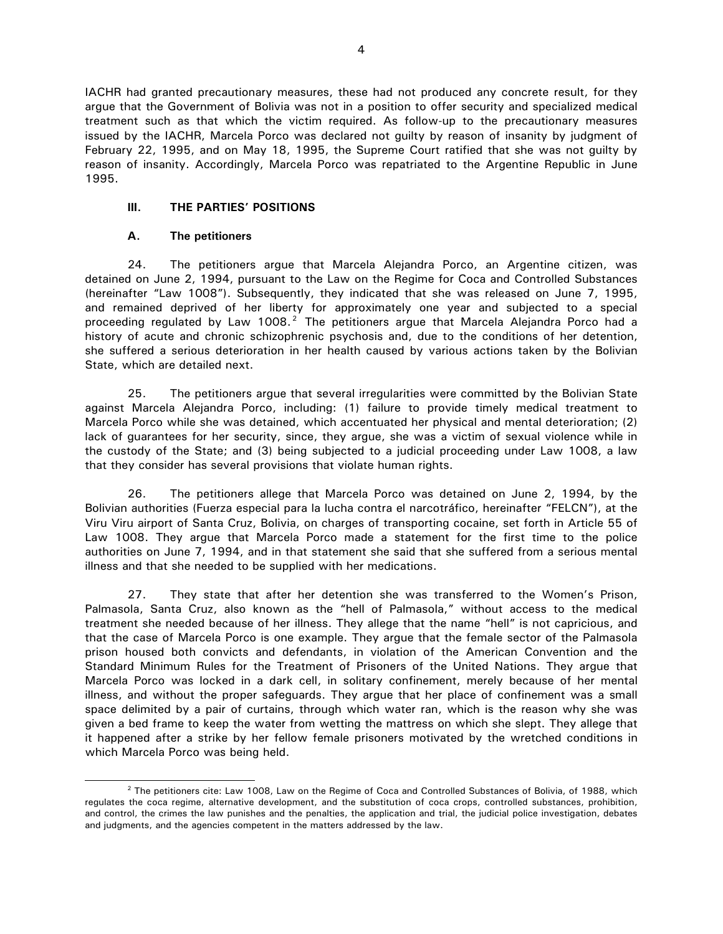IACHR had granted precautionary measures, these had not produced any concrete result, for they argue that the Government of Bolivia was not in a position to offer security and specialized medical treatment such as that which the victim required. As follow-up to the precautionary measures issued by the IACHR, Marcela Porco was declared not guilty by reason of insanity by judgment of February 22, 1995, and on May 18, 1995, the Supreme Court ratified that she was not guilty by reason of insanity. Accordingly, Marcela Porco was repatriated to the Argentine Republic in June 1995.

## **III. THE PARTIES' POSITIONS**

### **A. The petitioners**

24. The petitioners argue that Marcela Alejandra Porco, an Argentine citizen, was detained on June 2, 1994, pursuant to the Law on the Regime for Coca and Controlled Substances (hereinafter "Law 1008"). Subsequently, they indicated that she was released on June 7, 1995, and remained deprived of her liberty for approximately one year and subjected to a special proceeding regulated by Law 1008. $^2$  $^2$  The petitioners argue that Marcela Alejandra Porco had a history of acute and chronic schizophrenic psychosis and, due to the conditions of her detention, she suffered a serious deterioration in her health caused by various actions taken by the Bolivian State, which are detailed next.

25. The petitioners argue that several irregularities were committed by the Bolivian State against Marcela Alejandra Porco, including: (1) failure to provide timely medical treatment to Marcela Porco while she was detained, which accentuated her physical and mental deterioration; (2) lack of guarantees for her security, since, they argue, she was a victim of sexual violence while in the custody of the State; and (3) being subjected to a judicial proceeding under Law 1008, a law that they consider has several provisions that violate human rights.

26. The petitioners allege that Marcela Porco was detained on June 2, 1994, by the Bolivian authorities (Fuerza especial para la lucha contra el narcotráfico, hereinafter "FELCN"), at the Viru Viru airport of Santa Cruz, Bolivia, on charges of transporting cocaine, set forth in Article 55 of Law 1008. They argue that Marcela Porco made a statement for the first time to the police authorities on June 7, 1994, and in that statement she said that she suffered from a serious mental illness and that she needed to be supplied with her medications.

27. They state that after her detention she was transferred to the Women's Prison, Palmasola, Santa Cruz, also known as the "hell of Palmasola," without access to the medical treatment she needed because of her illness. They allege that the name "hell" is not capricious, and that the case of Marcela Porco is one example. They argue that the female sector of the Palmasola prison housed both convicts and defendants, in violation of the American Convention and the Standard Minimum Rules for the Treatment of Prisoners of the United Nations. They argue that Marcela Porco was locked in a dark cell, in solitary confinement, merely because of her mental illness, and without the proper safeguards. They argue that her place of confinement was a small space delimited by a pair of curtains, through which water ran, which is the reason why she was given a bed frame to keep the water from wetting the mattress on which she slept. They allege that it happened after a strike by her fellow female prisoners motivated by the wretched conditions in which Marcela Porco was being held.

<span id="page-3-0"></span> $2$  The petitioners cite: Law 1008, Law on the Regime of Coca and Controlled Substances of Bolivia, of 1988, which regulates the coca regime, alternative development, and the substitution of coca crops, controlled substances, prohibition, and control, the crimes the law punishes and the penalties, the application and trial, the judicial police investigation, debates and judgments, and the agencies competent in the matters addressed by the law.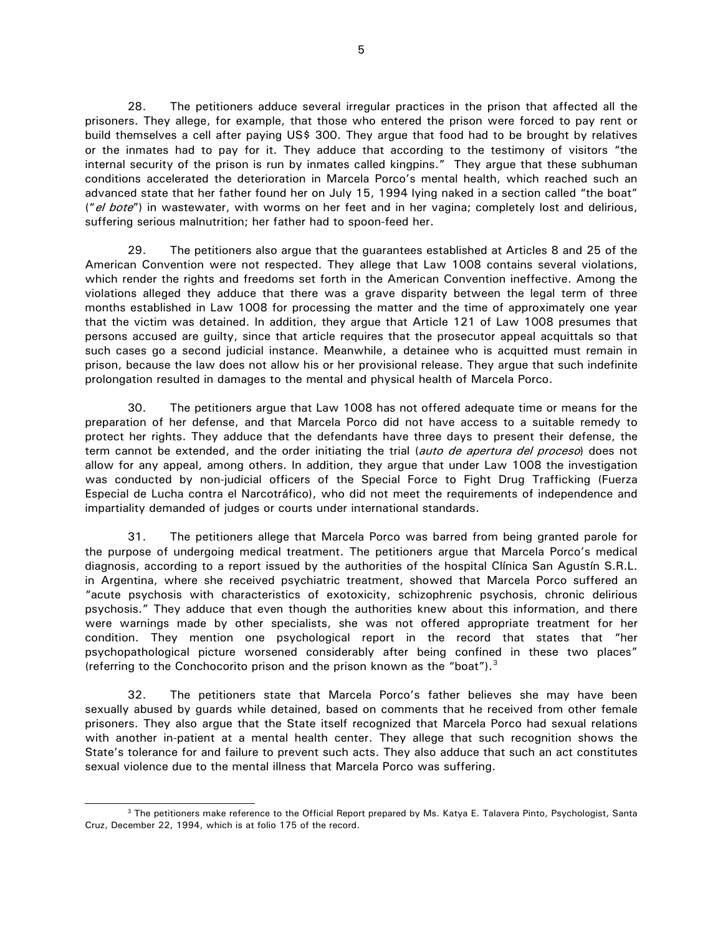28. The petitioners adduce several irregular practices in the prison that affected all the prisoners. They allege, for example, that those who entered the prison were forced to pay rent or build themselves a cell after paying US\$ 300. They argue that food had to be brought by relatives or the inmates had to pay for it. They adduce that according to the testimony of visitors "the internal security of the prison is run by inmates called kingpins." They argue that these subhuman conditions accelerated the deterioration in Marcela Porco's mental health, which reached such an advanced state that her father found her on July 15, 1994 lying naked in a section called "the boat" ("el bote") in wastewater, with worms on her feet and in her vagina; completely lost and delirious, suffering serious malnutrition; her father had to spoon-feed her.

29. The petitioners also argue that the guarantees established at Articles 8 and 25 of the American Convention were not respected. They allege that Law 1008 contains several violations, which render the rights and freedoms set forth in the American Convention ineffective. Among the violations alleged they adduce that there was a grave disparity between the legal term of three months established in Law 1008 for processing the matter and the time of approximately one year that the victim was detained. In addition, they argue that Article 121 of Law 1008 presumes that persons accused are guilty, since that article requires that the prosecutor appeal acquittals so that such cases go a second judicial instance. Meanwhile, a detainee who is acquitted must remain in prison, because the law does not allow his or her provisional release. They argue that such indefinite prolongation resulted in damages to the mental and physical health of Marcela Porco.

30. The petitioners argue that Law 1008 has not offered adequate time or means for the preparation of her defense, and that Marcela Porco did not have access to a suitable remedy to protect her rights. They adduce that the defendants have three days to present their defense, the term cannot be extended, and the order initiating the trial (*auto de apertura del proceso*) does not allow for any appeal, among others. In addition, they argue that under Law 1008 the investigation was conducted by non-judicial officers of the Special Force to Fight Drug Trafficking (Fuerza Especial de Lucha contra el Narcotráfico), who did not meet the requirements of independence and impartiality demanded of judges or courts under international standards.

31. The petitioners allege that Marcela Porco was barred from being granted parole for the purpose of undergoing medical treatment. The petitioners argue that Marcela Porco's medical diagnosis, according to a report issued by the authorities of the hospital Clínica San Agustín S.R.L. in Argentina, where she received psychiatric treatment, showed that Marcela Porco suffered an "acute psychosis with characteristics of exotoxicity, schizophrenic psychosis, chronic delirious psychosis." They adduce that even though the authorities knew about this information, and there were warnings made by other specialists, she was not offered appropriate treatment for her condition. They mention one psychological report in the record that states that "her psychopathological picture worsened considerably after being confined in these two places" (referring to the Conchocorito prison and the prison known as the "boat").<sup>[3](#page-4-0)</sup>

32. The petitioners state that Marcela Porco's father believes she may have been sexually abused by guards while detained, based on comments that he received from other female prisoners. They also argue that the State itself recognized that Marcela Porco had sexual relations with another in-patient at a mental health center. They allege that such recognition shows the State's tolerance for and failure to prevent such acts. They also adduce that such an act constitutes sexual violence due to the mental illness that Marcela Porco was suffering.

<span id="page-4-0"></span><sup>&</sup>lt;sup>3</sup> The petitioners make reference to the Official Report prepared by Ms. Katya E. Talavera Pinto, Psychologist, Santa Cruz, December 22, 1994, which is at folio 175 of the record.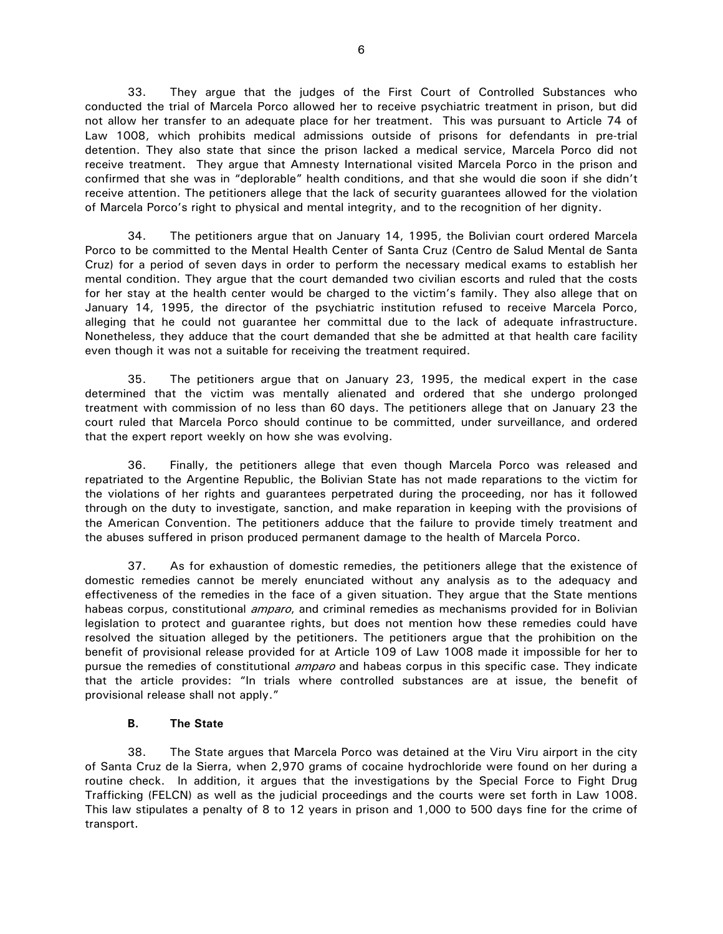33. They argue that the judges of the First Court of Controlled Substances who conducted the trial of Marcela Porco allowed her to receive psychiatric treatment in prison, but did not allow her transfer to an adequate place for her treatment. This was pursuant to Article 74 of Law 1008, which prohibits medical admissions outside of prisons for defendants in pre-trial detention. They also state that since the prison lacked a medical service, Marcela Porco did not receive treatment. They argue that Amnesty International visited Marcela Porco in the prison and confirmed that she was in "deplorable" health conditions, and that she would die soon if she didn't receive attention. The petitioners allege that the lack of security guarantees allowed for the violation of Marcela Porco's right to physical and mental integrity, and to the recognition of her dignity.

34. The petitioners argue that on January 14, 1995, the Bolivian court ordered Marcela Porco to be committed to the Mental Health Center of Santa Cruz (Centro de Salud Mental de Santa Cruz) for a period of seven days in order to perform the necessary medical exams to establish her mental condition. They argue that the court demanded two civilian escorts and ruled that the costs for her stay at the health center would be charged to the victim's family. They also allege that on January 14, 1995, the director of the psychiatric institution refused to receive Marcela Porco, alleging that he could not guarantee her committal due to the lack of adequate infrastructure. Nonetheless, they adduce that the court demanded that she be admitted at that health care facility even though it was not a suitable for receiving the treatment required.

35. The petitioners argue that on January 23, 1995, the medical expert in the case determined that the victim was mentally alienated and ordered that she undergo prolonged treatment with commission of no less than 60 days. The petitioners allege that on January 23 the court ruled that Marcela Porco should continue to be committed, under surveillance, and ordered that the expert report weekly on how she was evolving.

36. Finally, the petitioners allege that even though Marcela Porco was released and repatriated to the Argentine Republic, the Bolivian State has not made reparations to the victim for the violations of her rights and guarantees perpetrated during the proceeding, nor has it followed through on the duty to investigate, sanction, and make reparation in keeping with the provisions of the American Convention. The petitioners adduce that the failure to provide timely treatment and the abuses suffered in prison produced permanent damage to the health of Marcela Porco.

37. As for exhaustion of domestic remedies, the petitioners allege that the existence of domestic remedies cannot be merely enunciated without any analysis as to the adequacy and effectiveness of the remedies in the face of a given situation. They argue that the State mentions habeas corpus, constitutional *amparo*, and criminal remedies as mechanisms provided for in Bolivian legislation to protect and guarantee rights, but does not mention how these remedies could have resolved the situation alleged by the petitioners. The petitioners argue that the prohibition on the benefit of provisional release provided for at Article 109 of Law 1008 made it impossible for her to pursue the remedies of constitutional *amparo* and habeas corpus in this specific case. They indicate that the article provides: "In trials where controlled substances are at issue, the benefit of provisional release shall not apply."

#### **B. The State**

38. The State argues that Marcela Porco was detained at the Viru Viru airport in the city of Santa Cruz de la Sierra, when 2,970 grams of cocaine hydrochloride were found on her during a routine check. In addition, it argues that the investigations by the Special Force to Fight Drug Trafficking (FELCN) as well as the judicial proceedings and the courts were set forth in Law 1008. This law stipulates a penalty of 8 to 12 years in prison and 1,000 to 500 days fine for the crime of transport.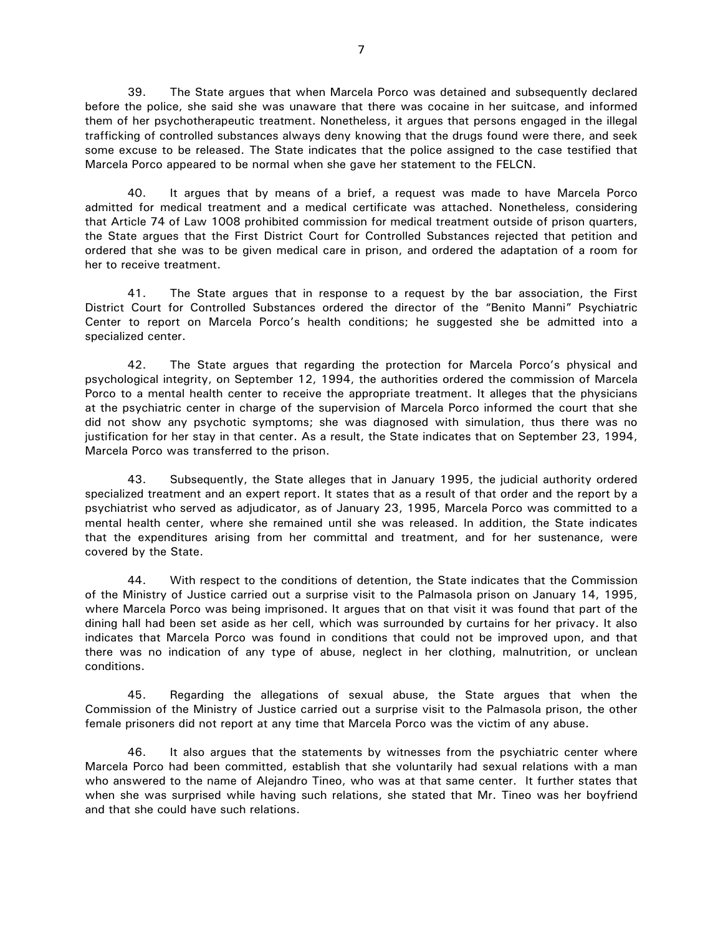39. The State argues that when Marcela Porco was detained and subsequently declared before the police, she said she was unaware that there was cocaine in her suitcase, and informed them of her psychotherapeutic treatment. Nonetheless, it argues that persons engaged in the illegal trafficking of controlled substances always deny knowing that the drugs found were there, and seek some excuse to be released. The State indicates that the police assigned to the case testified that Marcela Porco appeared to be normal when she gave her statement to the FELCN.

40. It argues that by means of a brief, a request was made to have Marcela Porco admitted for medical treatment and a medical certificate was attached. Nonetheless, considering that Article 74 of Law 1008 prohibited commission for medical treatment outside of prison quarters, the State argues that the First District Court for Controlled Substances rejected that petition and ordered that she was to be given medical care in prison, and ordered the adaptation of a room for her to receive treatment.

41. The State argues that in response to a request by the bar association, the First District Court for Controlled Substances ordered the director of the "Benito Manni" Psychiatric Center to report on Marcela Porco's health conditions; he suggested she be admitted into a specialized center.

42. The State argues that regarding the protection for Marcela Porco's physical and psychological integrity, on September 12, 1994, the authorities ordered the commission of Marcela Porco to a mental health center to receive the appropriate treatment. It alleges that the physicians at the psychiatric center in charge of the supervision of Marcela Porco informed the court that she did not show any psychotic symptoms; she was diagnosed with simulation, thus there was no justification for her stay in that center. As a result, the State indicates that on September 23, 1994, Marcela Porco was transferred to the prison.

43. Subsequently, the State alleges that in January 1995, the judicial authority ordered specialized treatment and an expert report. It states that as a result of that order and the report by a psychiatrist who served as adjudicator, as of January 23, 1995, Marcela Porco was committed to a mental health center, where she remained until she was released. In addition, the State indicates that the expenditures arising from her committal and treatment, and for her sustenance, were covered by the State.

44. With respect to the conditions of detention, the State indicates that the Commission of the Ministry of Justice carried out a surprise visit to the Palmasola prison on January 14, 1995, where Marcela Porco was being imprisoned. It argues that on that visit it was found that part of the dining hall had been set aside as her cell, which was surrounded by curtains for her privacy. It also indicates that Marcela Porco was found in conditions that could not be improved upon, and that there was no indication of any type of abuse, neglect in her clothing, malnutrition, or unclean conditions.

45. Regarding the allegations of sexual abuse, the State argues that when the Commission of the Ministry of Justice carried out a surprise visit to the Palmasola prison, the other female prisoners did not report at any time that Marcela Porco was the victim of any abuse.

46. It also argues that the statements by witnesses from the psychiatric center where Marcela Porco had been committed, establish that she voluntarily had sexual relations with a man who answered to the name of Alejandro Tineo, who was at that same center. It further states that when she was surprised while having such relations, she stated that Mr. Tineo was her boyfriend and that she could have such relations.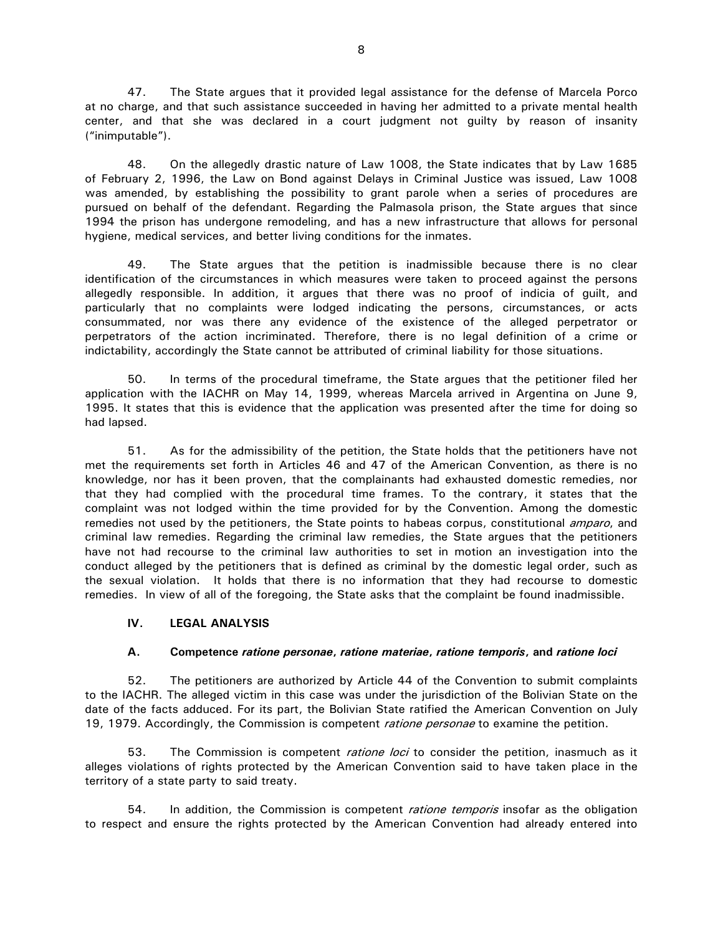47. The State argues that it provided legal assistance for the defense of Marcela Porco at no charge, and that such assistance succeeded in having her admitted to a private mental health center, and that she was declared in a court judgment not guilty by reason of insanity ("inimputable").

48. On the allegedly drastic nature of Law 1008, the State indicates that by Law 1685 of February 2, 1996, the Law on Bond against Delays in Criminal Justice was issued, Law 1008 was amended, by establishing the possibility to grant parole when a series of procedures are pursued on behalf of the defendant. Regarding the Palmasola prison, the State argues that since 1994 the prison has undergone remodeling, and has a new infrastructure that allows for personal hygiene, medical services, and better living conditions for the inmates.

49. The State argues that the petition is inadmissible because there is no clear identification of the circumstances in which measures were taken to proceed against the persons allegedly responsible. In addition, it argues that there was no proof of indicia of guilt, and particularly that no complaints were lodged indicating the persons, circumstances, or acts consummated, nor was there any evidence of the existence of the alleged perpetrator or perpetrators of the action incriminated. Therefore, there is no legal definition of a crime or indictability, accordingly the State cannot be attributed of criminal liability for those situations.

50. In terms of the procedural timeframe, the State argues that the petitioner filed her application with the IACHR on May 14, 1999, whereas Marcela arrived in Argentina on June 9, 1995. It states that this is evidence that the application was presented after the time for doing so had lapsed.

51. As for the admissibility of the petition, the State holds that the petitioners have not met the requirements set forth in Articles 46 and 47 of the American Convention, as there is no knowledge, nor has it been proven, that the complainants had exhausted domestic remedies, nor that they had complied with the procedural time frames. To the contrary, it states that the complaint was not lodged within the time provided for by the Convention. Among the domestic remedies not used by the petitioners, the State points to habeas corpus, constitutional *amparo*, and criminal law remedies. Regarding the criminal law remedies, the State argues that the petitioners have not had recourse to the criminal law authorities to set in motion an investigation into the conduct alleged by the petitioners that is defined as criminal by the domestic legal order, such as the sexual violation. It holds that there is no information that they had recourse to domestic remedies. In view of all of the foregoing, the State asks that the complaint be found inadmissible.

#### **IV. LEGAL ANALYSIS**

#### **A. Competence** *ratione personae***,** *ratione materiae***,** *ratione temporis***, and** *ratione loci*

52. The petitioners are authorized by Article 44 of the Convention to submit complaints to the IACHR. The alleged victim in this case was under the jurisdiction of the Bolivian State on the date of the facts adduced. For its part, the Bolivian State ratified the American Convention on July 19, 1979. Accordingly, the Commission is competent *ratione personae* to examine the petition.

53. The Commission is competent *ratione loci* to consider the petition, inasmuch as it alleges violations of rights protected by the American Convention said to have taken place in the territory of a state party to said treaty.

54. In addition, the Commission is competent *ratione temporis* insofar as the obligation to respect and ensure the rights protected by the American Convention had already entered into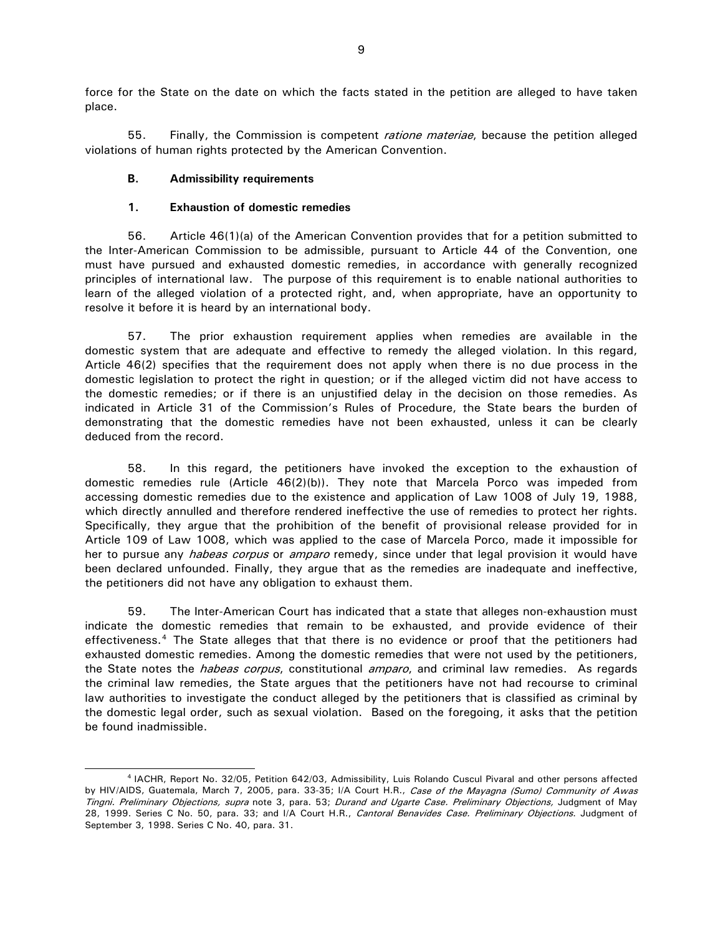force for the State on the date on which the facts stated in the petition are alleged to have taken place.

55. Finally, the Commission is competent *ratione materiae*, because the petition alleged violations of human rights protected by the American Convention.

#### **B. Admissibility requirements**

### **1. Exhaustion of domestic remedies**

56. Article 46(1)(a) of the American Convention provides that for a petition submitted to the Inter-American Commission to be admissible, pursuant to Article 44 of the Convention, one must have pursued and exhausted domestic remedies, in accordance with generally recognized principles of international law. The purpose of this requirement is to enable national authorities to learn of the alleged violation of a protected right, and, when appropriate, have an opportunity to resolve it before it is heard by an international body.

57. The prior exhaustion requirement applies when remedies are available in the domestic system that are adequate and effective to remedy the alleged violation. In this regard, Article 46(2) specifies that the requirement does not apply when there is no due process in the domestic legislation to protect the right in question; or if the alleged victim did not have access to the domestic remedies; or if there is an unjustified delay in the decision on those remedies. As indicated in Article 31 of the Commission's Rules of Procedure, the State bears the burden of demonstrating that the domestic remedies have not been exhausted, unless it can be clearly deduced from the record.

58. In this regard, the petitioners have invoked the exception to the exhaustion of domestic remedies rule (Article 46(2)(b)). They note that Marcela Porco was impeded from accessing domestic remedies due to the existence and application of Law 1008 of July 19, 1988, which directly annulled and therefore rendered ineffective the use of remedies to protect her rights. Specifically, they argue that the prohibition of the benefit of provisional release provided for in Article 109 of Law 1008, which was applied to the case of Marcela Porco, made it impossible for her to pursue any *habeas corpus* or *amparo* remedy, since under that legal provision it would have been declared unfounded. Finally, they argue that as the remedies are inadequate and ineffective, the petitioners did not have any obligation to exhaust them.

59. The Inter-American Court has indicated that a state that alleges non-exhaustion must indicate the domestic remedies that remain to be exhausted, and provide evidence of their effectiveness.[4](#page-8-0) The State alleges that that there is no evidence or proof that the petitioners had exhausted domestic remedies. Among the domestic remedies that were not used by the petitioners, the State notes the *habeas corpus*, constitutional *amparo*, and criminal law remedies. As regards the criminal law remedies, the State argues that the petitioners have not had recourse to criminal law authorities to investigate the conduct alleged by the petitioners that is classified as criminal by the domestic legal order, such as sexual violation. Based on the foregoing, it asks that the petition be found inadmissible.

<span id="page-8-0"></span> <sup>4</sup> IACHR, Report No. 32/05, Petition 642/03, Admissibility, Luis Rolando Cuscul Pivaral and other persons affected by HIV/AIDS, Guatemala, March 7, 2005, para. 33-35; I/A Court H.R., Case of the Mayagna (Sumo) Community of Awas Tingni. Preliminary Objections, supra note 3, para. 53; Durand and Ugarte Case. Preliminary Objections, Judgment of May 28, 1999. Series C No. 50, para. 33; and I/A Court H.R., Cantoral Benavides Case. Preliminary Objections. Judgment of September 3, 1998. Series C No. 40, para. 31.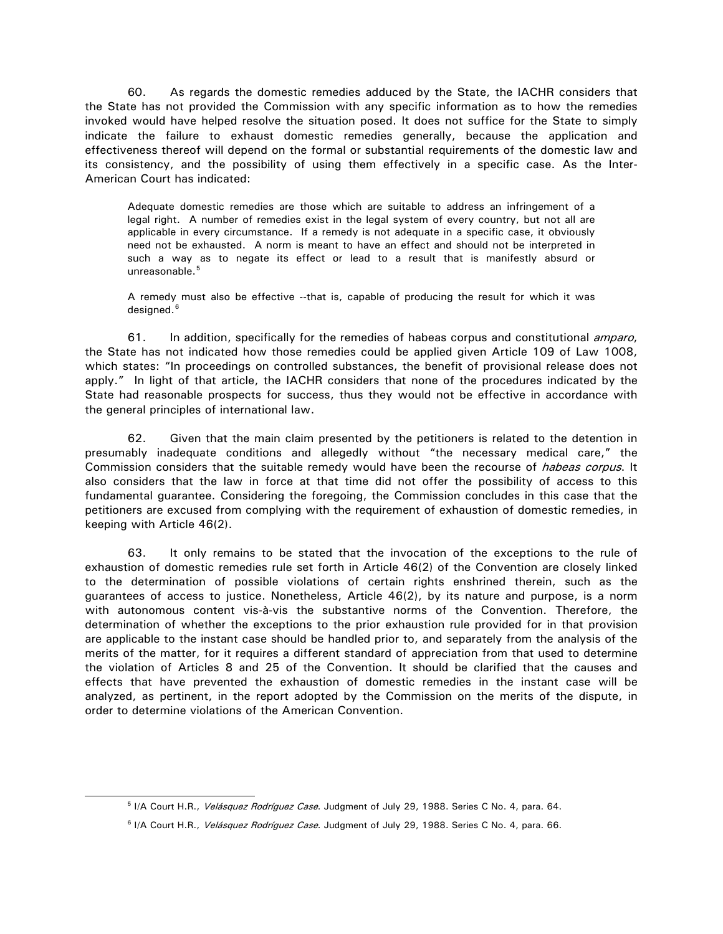60. As regards the domestic remedies adduced by the State, the IACHR considers that the State has not provided the Commission with any specific information as to how the remedies invoked would have helped resolve the situation posed. It does not suffice for the State to simply indicate the failure to exhaust domestic remedies generally, because the application and effectiveness thereof will depend on the formal or substantial requirements of the domestic law and its consistency, and the possibility of using them effectively in a specific case. As the Inter-American Court has indicated:

Adequate domestic remedies are those which are suitable to address an infringement of a legal right. A number of remedies exist in the legal system of every country, but not all are applicable in every circumstance. If a remedy is not adequate in a specific case, it obviously need not be exhausted. A norm is meant to have an effect and should not be interpreted in such a way as to negate its effect or lead to a result that is manifestly absurd or unreasonable.<sup>[5](#page-9-0)</sup>

A remedy must also be effective --that is, capable of producing the result for which it was designed.<sup>[6](#page-9-1)</sup>

61. In addition, specifically for the remedies of habeas corpus and constitutional *amparo*, the State has not indicated how those remedies could be applied given Article 109 of Law 1008, which states: "In proceedings on controlled substances, the benefit of provisional release does not apply." In light of that article, the IACHR considers that none of the procedures indicated by the State had reasonable prospects for success, thus they would not be effective in accordance with the general principles of international law.

62. Given that the main claim presented by the petitioners is related to the detention in presumably inadequate conditions and allegedly without "the necessary medical care," the Commission considers that the suitable remedy would have been the recourse of *habeas corpus*. It also considers that the law in force at that time did not offer the possibility of access to this fundamental guarantee. Considering the foregoing, the Commission concludes in this case that the petitioners are excused from complying with the requirement of exhaustion of domestic remedies, in keeping with Article 46(2).

63. It only remains to be stated that the invocation of the exceptions to the rule of exhaustion of domestic remedies rule set forth in Article 46(2) of the Convention are closely linked to the determination of possible violations of certain rights enshrined therein, such as the guarantees of access to justice. Nonetheless, Article 46(2), by its nature and purpose, is a norm with autonomous content vis-à-vis the substantive norms of the Convention. Therefore, the determination of whether the exceptions to the prior exhaustion rule provided for in that provision are applicable to the instant case should be handled prior to, and separately from the analysis of the merits of the matter, for it requires a different standard of appreciation from that used to determine the violation of Articles 8 and 25 of the Convention. It should be clarified that the causes and effects that have prevented the exhaustion of domestic remedies in the instant case will be analyzed, as pertinent, in the report adopted by the Commission on the merits of the dispute, in order to determine violations of the American Convention.

<span id="page-9-0"></span><sup>&</sup>lt;sup>5</sup> I/A Court H.R., Velásquez Rodríguez Case. Judgment of July 29, 1988. Series C No. 4, para. 64.

<span id="page-9-1"></span><sup>&</sup>lt;sup>6</sup> I/A Court H.R., Velásquez Rodríguez Case. Judgment of July 29, 1988. Series C No. 4, para. 66.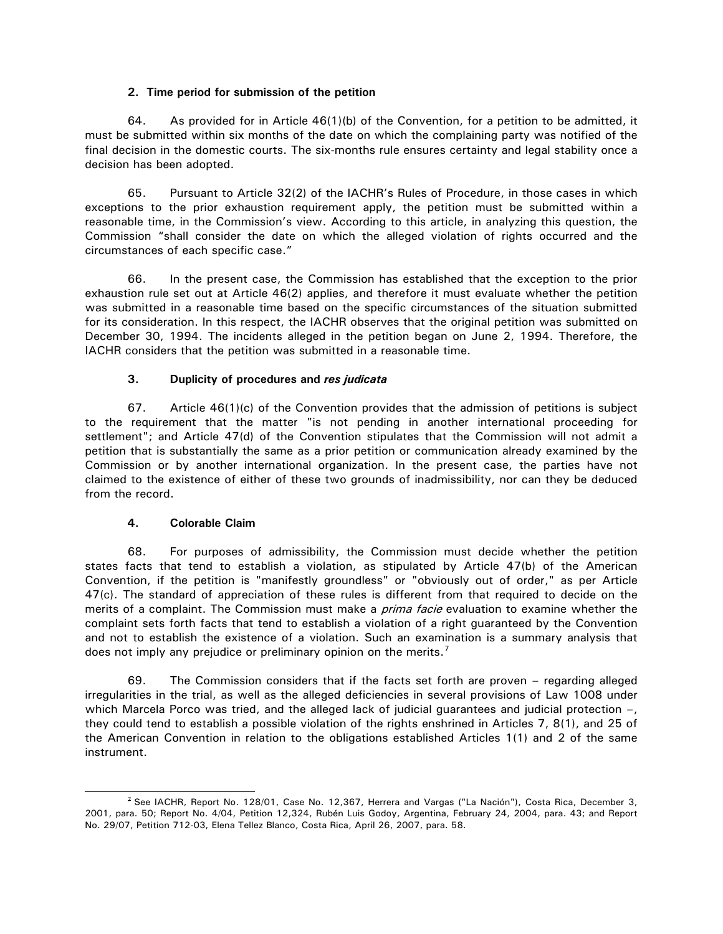### **2. Time period for submission of the petition**

64. As provided for in Article 46(1)(b) of the Convention, for a petition to be admitted, it must be submitted within six months of the date on which the complaining party was notified of the final decision in the domestic courts. The six-months rule ensures certainty and legal stability once a decision has been adopted.

65. Pursuant to Article 32(2) of the IACHR's Rules of Procedure, in those cases in which exceptions to the prior exhaustion requirement apply, the petition must be submitted within a reasonable time, in the Commission's view. According to this article, in analyzing this question, the Commission "shall consider the date on which the alleged violation of rights occurred and the circumstances of each specific case."

66. In the present case, the Commission has established that the exception to the prior exhaustion rule set out at Article 46(2) applies, and therefore it must evaluate whether the petition was submitted in a reasonable time based on the specific circumstances of the situation submitted for its consideration. In this respect, the IACHR observes that the original petition was submitted on December 30, 1994. The incidents alleged in the petition began on June 2, 1994. Therefore, the IACHR considers that the petition was submitted in a reasonable time.

# **3. Duplicity of procedures and** *res judicata*

67. Article 46(1)(c) of the Convention provides that the admission of petitions is subject to the requirement that the matter "is not pending in another international proceeding for settlement"; and Article 47(d) of the Convention stipulates that the Commission will not admit a petition that is substantially the same as a prior petition or communication already examined by the Commission or by another international organization. In the present case, the parties have not claimed to the existence of either of these two grounds of inadmissibility, nor can they be deduced from the record.

# **4. Colorable Claim**

68. For purposes of admissibility, the Commission must decide whether the petition states facts that tend to establish a violation, as stipulated by Article 47(b) of the American Convention, if the petition is "manifestly groundless" or "obviously out of order," as per Article 47(c). The standard of appreciation of these rules is different from that required to decide on the merits of a complaint. The Commission must make a *prima facie* evaluation to examine whether the complaint sets forth facts that tend to establish a violation of a right guaranteed by the Convention and not to establish the existence of a violation. Such an examination is a summary analysis that does not imply any prejudice or preliminary opinion on the merits.<sup>[7](#page-10-0)</sup>

69. The Commission considers that if the facts set forth are proven – regarding alleged irregularities in the trial, as well as the alleged deficiencies in several provisions of Law 1008 under which Marcela Porco was tried, and the alleged lack of judicial guarantees and judicial protection –, they could tend to establish a possible violation of the rights enshrined in Articles 7, 8(1), and 25 of the American Convention in relation to the obligations established Articles 1(1) and 2 of the same instrument.

<span id="page-10-0"></span> <sup>7</sup> See IACHR, Report No. 128/01, Case No. 12,367, Herrera and Vargas ("La Nación"), Costa Rica, December 3, 2001, para. 50; Report No. 4/04, Petition 12,324, Rubén Luis Godoy, Argentina, February 24, 2004, para. 43; and Report No. 29/07, Petition 712-03, Elena Tellez Blanco, Costa Rica, April 26, 2007, para. 58.